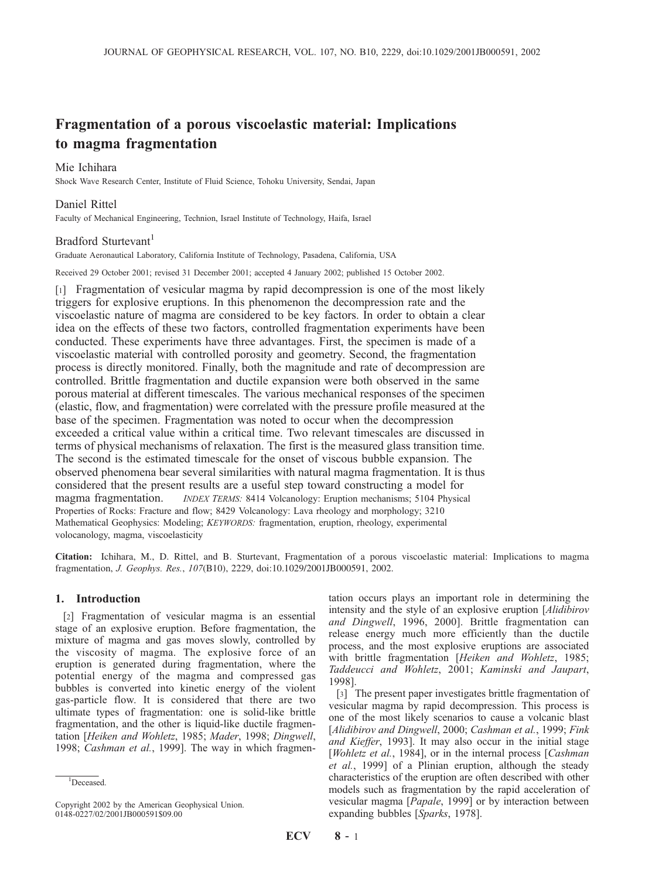# Fragmentation of a porous viscoelastic material: Implications to magma fragmentation

# Mie Ichihara

Shock Wave Research Center, Institute of Fluid Science, Tohoku University, Sendai, Japan

## Daniel Rittel

Faculty of Mechanical Engineering, Technion, Israel Institute of Technology, Haifa, Israel

# Bradford Sturtevant<sup>1</sup>

Graduate Aeronautical Laboratory, California Institute of Technology, Pasadena, California, USA

Received 29 October 2001; revised 31 December 2001; accepted 4 January 2002; published 15 October 2002.

[1] Fragmentation of vesicular magma by rapid decompression is one of the most likely triggers for explosive eruptions. In this phenomenon the decompression rate and the viscoelastic nature of magma are considered to be key factors. In order to obtain a clear idea on the effects of these two factors, controlled fragmentation experiments have been conducted. These experiments have three advantages. First, the specimen is made of a viscoelastic material with controlled porosity and geometry. Second, the fragmentation process is directly monitored. Finally, both the magnitude and rate of decompression are controlled. Brittle fragmentation and ductile expansion were both observed in the same porous material at different timescales. The various mechanical responses of the specimen (elastic, flow, and fragmentation) were correlated with the pressure profile measured at the base of the specimen. Fragmentation was noted to occur when the decompression exceeded a critical value within a critical time. Two relevant timescales are discussed in terms of physical mechanisms of relaxation. The first is the measured glass transition time. The second is the estimated timescale for the onset of viscous bubble expansion. The observed phenomena bear several similarities with natural magma fragmentation. It is thus considered that the present results are a useful step toward constructing a model for magma fragmentation. *INDEX TERMS:* 8414 Volcanology: Eruption mechanisms; 5104 Physical Properties of Rocks: Fracture and flow; 8429 Volcanology: Lava rheology and morphology; 3210 Mathematical Geophysics: Modeling; KEYWORDS: fragmentation, eruption, rheology, experimental volocanology, magma, viscoelasticity

Citation: Ichihara, M., D. Rittel, and B. Sturtevant, Fragmentation of a porous viscoelastic material: Implications to magma fragmentation, J. Geophys. Res., 107(B10), 2229, doi:10.1029/2001JB000591, 2002.

## 1. Introduction

[2] Fragmentation of vesicular magma is an essential stage of an explosive eruption. Before fragmentation, the mixture of magma and gas moves slowly, controlled by the viscosity of magma. The explosive force of an eruption is generated during fragmentation, where the potential energy of the magma and compressed gas bubbles is converted into kinetic energy of the violent gas-particle flow. It is considered that there are two ultimate types of fragmentation: one is solid-like brittle fragmentation, and the other is liquid-like ductile fragmentation [Heiken and Wohletz, 1985; Mader, 1998; Dingwell, 1998; Cashman et al., 1999]. The way in which fragmen-

Copyright 2002 by the American Geophysical Union. 0148-0227/02/2001JB000591\$09.00

tation occurs plays an important role in determining the intensity and the style of an explosive eruption [Alidibirov and Dingwell, 1996, 2000]. Brittle fragmentation can release energy much more efficiently than the ductile process, and the most explosive eruptions are associated with brittle fragmentation [Heiken and Wohletz, 1985; Taddeucci and Wohletz, 2001; Kaminski and Jaupart, 1998].

[3] The present paper investigates brittle fragmentation of vesicular magma by rapid decompression. This process is one of the most likely scenarios to cause a volcanic blast [Alidibirov and Dingwell, 2000; Cashman et al., 1999; Fink and Kieffer, 1993]. It may also occur in the initial stage [Wohletz et al., 1984], or in the internal process [Cashman] et al., 1999] of a Plinian eruption, although the steady characteristics of the eruption are often described with other models such as fragmentation by the rapid acceleration of vesicular magma [Papale, 1999] or by interaction between expanding bubbles [Sparks, 1978].

<sup>1</sup> Deceased.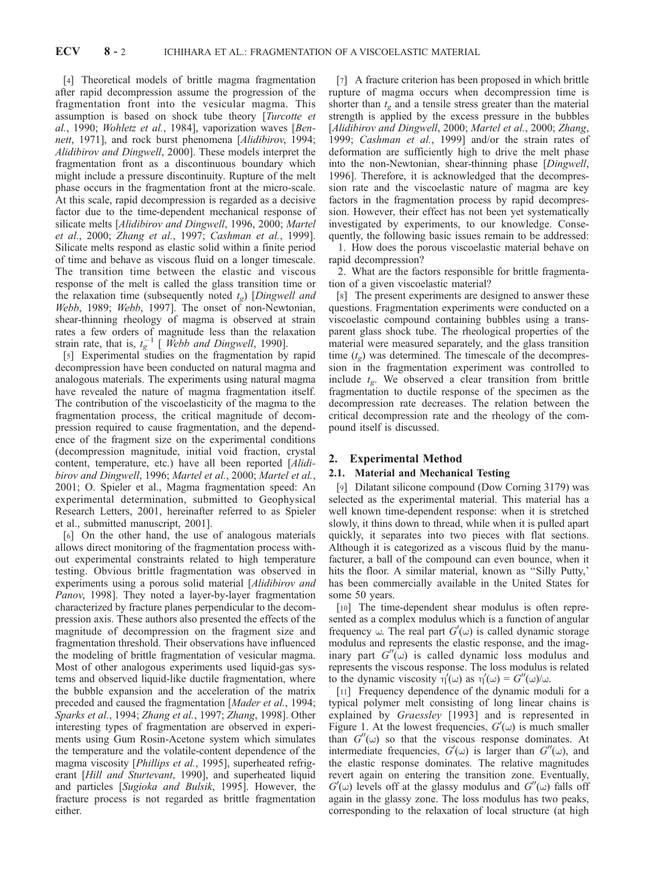[4] Theoretical models of brittle magma fragmentation after rapid decompression assume the progression of the fragmentation front into the vesicular magma. This assumption is based on shock tube theory [Turcotte et al., 1990; Wohletz et al., 1984], vaporization waves [Bennett, 1971], and rock burst phenomena [Alidibirov, 1994; Alidibirov and Dingwell, 2000]. These models interpret the fragmentation front as a discontinuous boundary which might include a pressure discontinuity. Rupture of the melt phase occurs in the fragmentation front at the micro-scale. At this scale, rapid decompression is regarded as a decisive factor due to the time-dependent mechanical response of silicate melts [Alidibirov and Dingwell, 1996, 2000; Martel et al., 2000; Zhang et al., 1997; Cashman et al., 1999]. Silicate melts respond as elastic solid within a finite period of time and behave as viscous fluid on a longer timescale. The transition time between the elastic and viscous response of the melt is called the glass transition time or the relaxation time (subsequently noted  $t<sub>q</sub>$ ) [Dingwell and Webb, 1989; Webb, 1997]. The onset of non-Newtonian, shear-thinning rheology of magma is observed at strain rates a few orders of magnitude less than the relaxation strain rate, that is,  $t_g^{-1}$  [ *Webb and Dingwell*, 1990].

[5] Experimental studies on the fragmentation by rapid decompression have been conducted on natural magma and analogous materials. The experiments using natural magma have revealed the nature of magma fragmentation itself. The contribution of the viscoelasticity of the magma to the fragmentation process, the critical magnitude of decompression required to cause fragmentation, and the dependence of the fragment size on the experimental conditions (decompression magnitude, initial void fraction, crystal content, temperature, etc.) have all been reported [Alidibirov and Dingwell, 1996; Martel et al., 2000; Martel et al., 2001; O. Spieler et al., Magma fragmentation speed: An experimental determination, submitted to Geophysical Research Letters, 2001, hereinafter referred to as Spieler et al., submitted manuscript, 2001].

[6] On the other hand, the use of analogous materials allows direct monitoring of the fragmentation process without experimental constraints related to high temperature testing. Obvious brittle fragmentation was observed in experiments using a porous solid material [Alidibirov and Panov, 1998]. They noted a layer-by-layer fragmentation characterized by fracture planes perpendicular to the decompression axis. These authors also presented the effects of the magnitude of decompression on the fragment size and fragmentation threshold. Their observations have influenced the modeling of brittle fragmentation of vesicular magma. Most of other analogous experiments used liquid-gas systems and observed liquid-like ductile fragmentation, where the bubble expansion and the acceleration of the matrix preceded and caused the fragmentation [Mader et al., 1994; Sparks et al., 1994; Zhang et al., 1997; Zhang, 1998]. Other interesting types of fragmentation are observed in experiments using Gum Rosin-Acetone system which simulates the temperature and the volatile-content dependence of the magma viscosity [Phillips et al., 1995], superheated refrigerant [Hill and Sturtevant, 1990], and superheated liquid and particles [Sugioka and Bulsik, 1995]. However, the fracture process is not regarded as brittle fragmentation either.

[7] A fracture criterion has been proposed in which brittle rupture of magma occurs when decompression time is shorter than  $t_g$  and a tensile stress greater than the material strength is applied by the excess pressure in the bubbles [Alidibirov and Dingwell, 2000; Martel et al., 2000; Zhang, 1999; Cashman et al., 1999] and/or the strain rates of deformation are sufficiently high to drive the melt phase into the non-Newtonian, shear-thinning phase [Dingwell, 1996]. Therefore, it is acknowledged that the decompression rate and the viscoelastic nature of magma are key factors in the fragmentation process by rapid decompression. However, their effect has not been yet systematically investigated by experiments, to our knowledge. Consequently, the following basic issues remain to be addressed:

1. How does the porous viscoelastic material behave on rapid decompression?

2. What are the factors responsible for brittle fragmentation of a given viscoelastic material?

[8] The present experiments are designed to answer these questions. Fragmentation experiments were conducted on a viscoelastic compound containing bubbles using a transparent glass shock tube. The rheological properties of the material were measured separately, and the glass transition time  $(t<sub>g</sub>)$  was determined. The timescale of the decompression in the fragmentation experiment was controlled to include  $t_{g}$ . We observed a clear transition from brittle fragmentation to ductile response of the specimen as the decompression rate decreases. The relation between the critical decompression rate and the rheology of the compound itself is discussed.

## 2. Experimental Method

## 2.1. Material and Mechanical Testing

[9] Dilatant silicone compound (Dow Corning 3179) was selected as the experimental material. This material has a well known time-dependent response: when it is stretched slowly, it thins down to thread, while when it is pulled apart quickly, it separates into two pieces with flat sections. Although it is categorized as a viscous fluid by the manufacturer, a ball of the compound can even bounce, when it hits the floor. A similar material, known as "Silly Putty," has been commercially available in the United States for some 50 years.

[10] The time-dependent shear modulus is often represented as a complex modulus which is a function of angular frequency  $\omega$ . The real part  $G'(\omega)$  is called dynamic storage modulus and represents the elastic response, and the imaginary part  $G''(\omega)$  is called dynamic loss modulus and represents the viscous response. The loss modulus is related to the dynamic viscosity  $\eta'(\omega)$  as  $\eta'(\omega) = G''(\omega)/\omega$ .

[11] Frequency dependence of the dynamic moduli for a typical polymer melt consisting of long linear chains is explained by Graessley [1993] and is represented in Figure 1. At the lowest frequencies,  $G'(\omega)$  is much smaller than  $G''(\omega)$  so that the viscous response dominates. At intermediate frequencies,  $G'(\omega)$  is larger than  $G''(\omega)$ , and the elastic response dominates. The relative magnitudes revert again on entering the transition zone. Eventually,  $G'(\omega)$  levels off at the glassy modulus and  $G''(\omega)$  falls off again in the glassy zone. The loss modulus has two peaks, corresponding to the relaxation of local structure (at high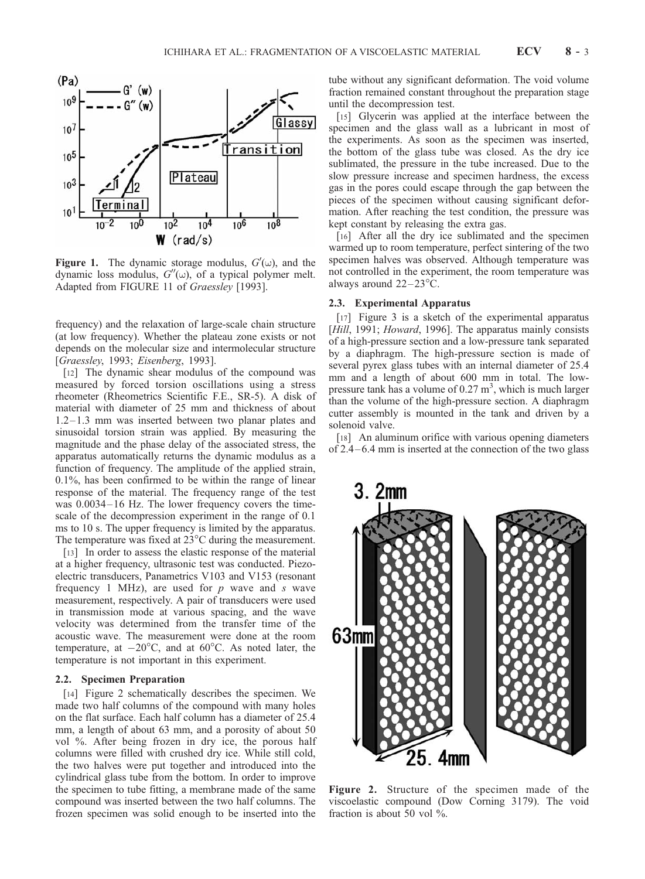

Figure 1. The dynamic storage modulus,  $G'(\omega)$ , and the dynamic loss modulus,  $G''(\omega)$ , of a typical polymer melt. Adapted from FIGURE 11 of Graessley [1993].

frequency) and the relaxation of large-scale chain structure (at low frequency). Whether the plateau zone exists or not depends on the molecular size and intermolecular structure [Graessley, 1993; Eisenberg, 1993].

[12] The dynamic shear modulus of the compound was measured by forced torsion oscillations using a stress rheometer (Rheometrics Scientific F.E., SR-5). A disk of material with diameter of 25 mm and thickness of about 1.2– 1.3 mm was inserted between two planar plates and sinusoidal torsion strain was applied. By measuring the magnitude and the phase delay of the associated stress, the apparatus automatically returns the dynamic modulus as a function of frequency. The amplitude of the applied strain, 0.1%, has been confirmed to be within the range of linear response of the material. The frequency range of the test was  $0.0034 - 16$  Hz. The lower frequency covers the timescale of the decompression experiment in the range of 0.1 ms to 10 s. The upper frequency is limited by the apparatus. The temperature was fixed at  $23^{\circ}$ C during the measurement.

[13] In order to assess the elastic response of the material at a higher frequency, ultrasonic test was conducted. Piezoelectric transducers, Panametrics V103 and V153 (resonant frequency 1 MHz), are used for  $p$  wave and  $s$  wave measurement, respectively. A pair of transducers were used in transmission mode at various spacing, and the wave velocity was determined from the transfer time of the acoustic wave. The measurement were done at the room temperature, at  $-20^{\circ}$ C, and at 60<sup>o</sup>C. As noted later, the temperature is not important in this experiment.

## 2.2. Specimen Preparation

[14] Figure 2 schematically describes the specimen. We made two half columns of the compound with many holes on the flat surface. Each half column has a diameter of 25.4 mm, a length of about 63 mm, and a porosity of about 50 vol %. After being frozen in dry ice, the porous half columns were filled with crushed dry ice. While still cold, the two halves were put together and introduced into the cylindrical glass tube from the bottom. In order to improve the specimen to tube fitting, a membrane made of the same compound was inserted between the two half columns. The frozen specimen was solid enough to be inserted into the

tube without any significant deformation. The void volume fraction remained constant throughout the preparation stage until the decompression test.

[15] Glycerin was applied at the interface between the specimen and the glass wall as a lubricant in most of the experiments. As soon as the specimen was inserted, the bottom of the glass tube was closed. As the dry ice sublimated, the pressure in the tube increased. Due to the slow pressure increase and specimen hardness, the excess gas in the pores could escape through the gap between the pieces of the specimen without causing significant deformation. After reaching the test condition, the pressure was kept constant by releasing the extra gas.

[16] After all the dry ice sublimated and the specimen warmed up to room temperature, perfect sintering of the two specimen halves was observed. Although temperature was not controlled in the experiment, the room temperature was always around  $22-23^{\circ}$ C.

#### 2.3. Experimental Apparatus

[17] Figure 3 is a sketch of the experimental apparatus [*Hill*, 1991; *Howard*, 1996]. The apparatus mainly consists of a high-pressure section and a low-pressure tank separated by a diaphragm. The high-pressure section is made of several pyrex glass tubes with an internal diameter of 25.4 mm and a length of about 600 mm in total. The lowpressure tank has a volume of  $0.27 \text{ m}^3$ , which is much larger than the volume of the high-pressure section. A diaphragm cutter assembly is mounted in the tank and driven by a solenoid valve.

[18] An aluminum orifice with various opening diameters of 2.4 – 6.4 mm is inserted at the connection of the two glass



Figure 2. Structure of the specimen made of the viscoelastic compound (Dow Corning 3179). The void fraction is about 50 vol %.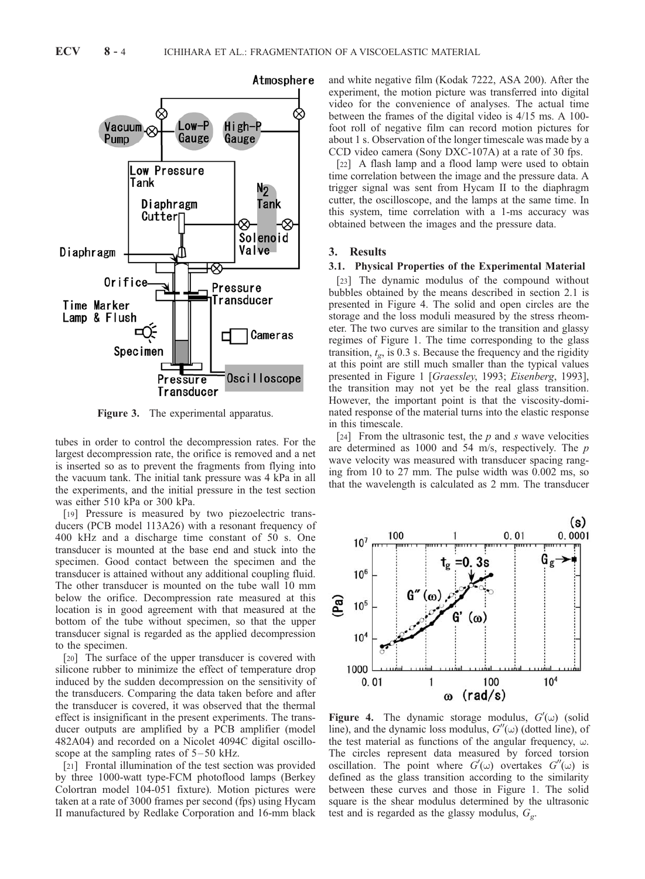

Figure 3. The experimental apparatus.

tubes in order to control the decompression rates. For the largest decompression rate, the orifice is removed and a net is inserted so as to prevent the fragments from flying into the vacuum tank. The initial tank pressure was 4 kPa in all the experiments, and the initial pressure in the test section was either 510 kPa or 300 kPa.

[19] Pressure is measured by two piezoelectric transducers (PCB model 113A26) with a resonant frequency of 400 kHz and a discharge time constant of 50 s. One transducer is mounted at the base end and stuck into the specimen. Good contact between the specimen and the transducer is attained without any additional coupling fluid. The other transducer is mounted on the tube wall 10 mm below the orifice. Decompression rate measured at this location is in good agreement with that measured at the bottom of the tube without specimen, so that the upper transducer signal is regarded as the applied decompression to the specimen.

[20] The surface of the upper transducer is covered with silicone rubber to minimize the effect of temperature drop induced by the sudden decompression on the sensitivity of the transducers. Comparing the data taken before and after the transducer is covered, it was observed that the thermal effect is insignificant in the present experiments. The transducer outputs are amplified by a PCB amplifier (model 482A04) and recorded on a Nicolet 4094C digital oscilloscope at the sampling rates of  $5-50$  kHz.

[21] Frontal illumination of the test section was provided by three 1000-watt type-FCM photoflood lamps (Berkey Colortran model 104-051 fixture). Motion pictures were taken at a rate of 3000 frames per second (fps) using Hycam II manufactured by Redlake Corporation and 16-mm black and white negative film (Kodak 7222, ASA 200). After the experiment, the motion picture was transferred into digital video for the convenience of analyses. The actual time between the frames of the digital video is 4/15 ms. A 100 foot roll of negative film can record motion pictures for about 1 s. Observation of the longer timescale was made by a CCD video camera (Sony DXC-107A) at a rate of 30 fps.

[22] A flash lamp and a flood lamp were used to obtain time correlation between the image and the pressure data. A trigger signal was sent from Hycam II to the diaphragm cutter, the oscilloscope, and the lamps at the same time. In this system, time correlation with a 1-ms accuracy was obtained between the images and the pressure data.

#### 3. Results

#### 3.1. Physical Properties of the Experimental Material

[23] The dynamic modulus of the compound without bubbles obtained by the means described in section 2.1 is presented in Figure 4. The solid and open circles are the storage and the loss moduli measured by the stress rheometer. The two curves are similar to the transition and glassy regimes of Figure 1. The time corresponding to the glass transition,  $t_{g}$ , is 0.3 s. Because the frequency and the rigidity at this point are still much smaller than the typical values presented in Figure 1 [Graessley, 1993; Eisenberg, 1993], the transition may not yet be the real glass transition. However, the important point is that the viscosity-dominated response of the material turns into the elastic response in this timescale.

[24] From the ultrasonic test, the  $p$  and  $s$  wave velocities are determined as  $1000$  and  $54$  m/s, respectively. The p wave velocity was measured with transducer spacing ranging from 10 to 27 mm. The pulse width was 0.002 ms, so that the wavelength is calculated as 2 mm. The transducer



Figure 4. The dynamic storage modulus,  $G'(\omega)$  (solid line), and the dynamic loss modulus,  $G''(\omega)$  (dotted line), of the test material as functions of the angular frequency,  $\omega$ . The circles represent data measured by forced torsion oscillation. The point where  $G'(\omega)$  overtakes  $G''(\omega)$  is defined as the glass transition according to the similarity between these curves and those in Figure 1. The solid square is the shear modulus determined by the ultrasonic test and is regarded as the glassy modulus,  $G<sub>g</sub>$ .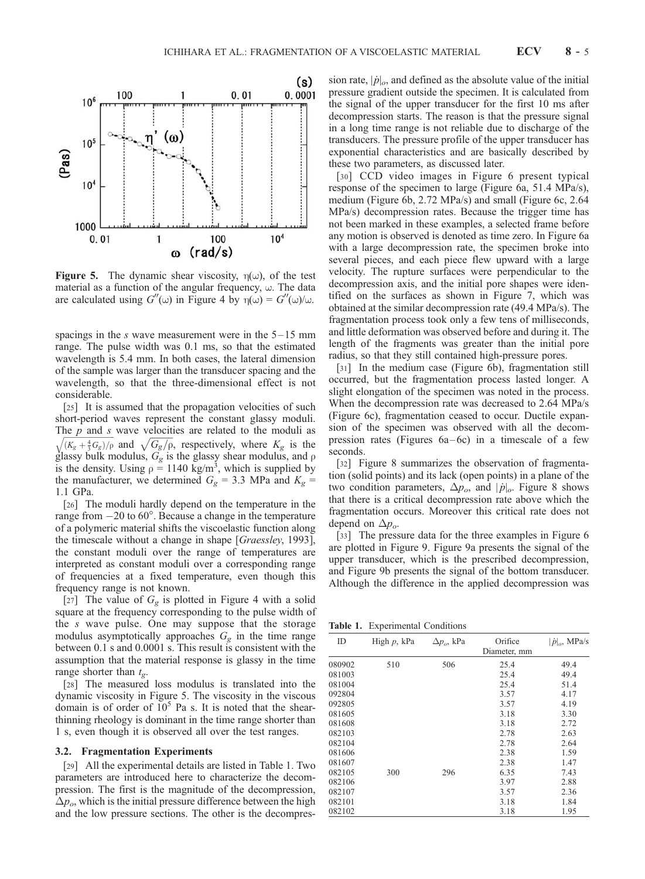

**Figure 5.** The dynamic shear viscosity,  $\eta(\omega)$ , of the test material as a function of the angular frequency,  $\omega$ . The data are calculated using  $G''(\omega)$  in Figure 4 by  $\eta(\omega) = G''(\omega)/\omega$ .

spacings in the s wave measurement were in the  $5-15$  mm range. The pulse width was 0.1 ms, so that the estimated wavelength is 5.4 mm. In both cases, the lateral dimension of the sample was larger than the transducer spacing and the wavelength, so that the three-dimensional effect is not considerable.

[25] It is assumed that the propagation velocities of such short-period waves represent the constant glassy moduli. The  $p$  and  $s$  wave velocities are related to the moduli as  $\sqrt{(K_g + \frac{4}{3}G_g)/\rho}$  and  $\sqrt{G_g/\rho}$ , respectively, where  $K_g$  is the glassy bulk modulus,  $G<sub>g</sub>$  is the glassy shear modulus, and  $\rho$ is the density. Using  $\rho = 1140 \text{ kg/m}^3$ , which is supplied by the manufacturer, we determined  $G_g = 3.3$  MPa and  $K_g =$ 1.1 GPa.

[26] The moduli hardly depend on the temperature in the range from  $-20$  to  $60^\circ$ . Because a change in the temperature of a polymeric material shifts the viscoelastic function along the timescale without a change in shape [Graessley, 1993], the constant moduli over the range of temperatures are interpreted as constant moduli over a corresponding range of frequencies at a fixed temperature, even though this frequency range is not known.

[27] The value of  $G<sub>g</sub>$  is plotted in Figure 4 with a solid square at the frequency corresponding to the pulse width of the s wave pulse. One may suppose that the storage modulus asymptotically approaches  $G_g$  in the time range between 0.1 s and 0.0001 s. This result is consistent with the assumption that the material response is glassy in the time range shorter than  $t_g$ .

[28] The measured loss modulus is translated into the dynamic viscosity in Figure 5. The viscosity in the viscous domain is of order of  $10<sup>5</sup>$  Pa s. It is noted that the shearthinning rheology is dominant in the time range shorter than 1 s, even though it is observed all over the test ranges.

#### 3.2. Fragmentation Experiments

[29] All the experimental details are listed in Table 1. Two parameters are introduced here to characterize the decompression. The first is the magnitude of the decompression,  $\Delta p_o$ , which is the initial pressure difference between the high and the low pressure sections. The other is the decompres-

sion rate,  $|\dot{p}|_o$ , and defined as the absolute value of the initial pressure gradient outside the specimen. It is calculated from the signal of the upper transducer for the first 10 ms after decompression starts. The reason is that the pressure signal in a long time range is not reliable due to discharge of the transducers. The pressure profile of the upper transducer has exponential characteristics and are basically described by these two parameters, as discussed later.

[30] CCD video images in Figure 6 present typical response of the specimen to large (Figure 6a, 51.4 MPa/s), medium (Figure 6b, 2.72 MPa/s) and small (Figure 6c, 2.64 MPa/s) decompression rates. Because the trigger time has not been marked in these examples, a selected frame before any motion is observed is denoted as time zero. In Figure 6a with a large decompression rate, the specimen broke into several pieces, and each piece flew upward with a large velocity. The rupture surfaces were perpendicular to the decompression axis, and the initial pore shapes were identified on the surfaces as shown in Figure 7, which was obtained at the similar decompression rate (49.4 MPa/s). The fragmentation process took only a few tens of milliseconds, and little deformation was observed before and during it. The length of the fragments was greater than the initial pore radius, so that they still contained high-pressure pores.

[31] In the medium case (Figure 6b), fragmentation still occurred, but the fragmentation process lasted longer. A slight elongation of the specimen was noted in the process. When the decompression rate was decreased to 2.64 MPa/s (Figure 6c), fragmentation ceased to occur. Ductile expansion of the specimen was observed with all the decompression rates (Figures  $6a-6c$ ) in a timescale of a few seconds.

[32] Figure 8 summarizes the observation of fragmentation (solid points) and its lack (open points) in a plane of the two condition parameters,  $\Delta p_o$ , and  $|\dot{p}|_o$ . Figure 8 shows that there is a critical decompression rate above which the fragmentation occurs. Moreover this critical rate does not depend on  $\Delta p_o$ .

[33] The pressure data for the three examples in Figure 6 are plotted in Figure 9. Figure 9a presents the signal of the upper transducer, which is the prescribed decompression, and Figure 9b presents the signal of the bottom transducer. Although the difference in the applied decompression was

Table 1. Experimental Conditions

| ID     | High $p$ , kPa | $\Delta p_o$ , kPa | Orifice<br>Diameter, mm | $ \dot{p} _o$ , MPa/s |
|--------|----------------|--------------------|-------------------------|-----------------------|
| 080902 | 510            | 506                | 25.4                    | 49.4                  |
| 081003 |                |                    | 25.4                    | 49.4                  |
| 081004 |                |                    | 25.4                    | 51.4                  |
| 092804 |                |                    | 3.57                    | 4.17                  |
| 092805 |                |                    | 3.57                    | 4.19                  |
| 081605 |                |                    | 3.18                    | 3.30                  |
| 081608 |                |                    | 3.18                    | 2.72                  |
| 082103 |                |                    | 2.78                    | 2.63                  |
| 082104 |                |                    | 2.78                    | 2.64                  |
| 081606 |                |                    | 2.38                    | 1.59                  |
| 081607 |                |                    | 2.38                    | 1.47                  |
| 082105 | 300            | 296                | 6.35                    | 7.43                  |
| 082106 |                |                    | 3.97                    | 2.88                  |
| 082107 |                |                    | 3.57                    | 2.36                  |
| 082101 |                |                    | 3.18                    | 1.84                  |
| 082102 |                |                    | 3.18                    | 1.95                  |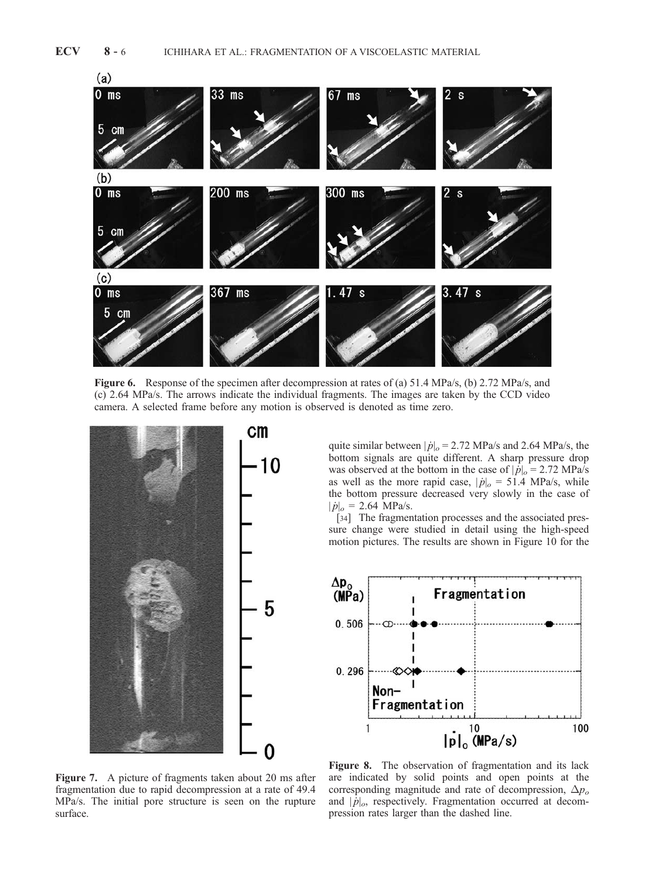

Figure 6. Response of the specimen after decompression at rates of (a) 51.4 MPa/s, (b) 2.72 MPa/s, and (c) 2.64 MPa/s. The arrows indicate the individual fragments. The images are taken by the CCD video camera. A selected frame before any motion is observed is denoted as time zero.



quite similar between  $|\dot{p}|_o = 2.72$  MPa/s and 2.64 MPa/s, the bottom signals are quite different. A sharp pressure drop was observed at the bottom in the case of  $|\dot{p}|_o = 2.72$  MPa/s as well as the more rapid case,  $|p|_o = 51.4$  MPa/s, while the bottom pressure decreased very slowly in the case of  $|\dot{p}|_o = 2.64$  MPa/s.

[34] The fragmentation processes and the associated pressure change were studied in detail using the high-speed motion pictures. The results are shown in Figure 10 for the



Figure 7. A picture of fragments taken about 20 ms after fragmentation due to rapid decompression at a rate of 49.4 MPa/s. The initial pore structure is seen on the rupture surface.

Figure 8. The observation of fragmentation and its lack are indicated by solid points and open points at the corresponding magnitude and rate of decompression,  $\Delta p_o$ and  $| \dot{p} |_{o}$ , respectively. Fragmentation occurred at decompression rates larger than the dashed line.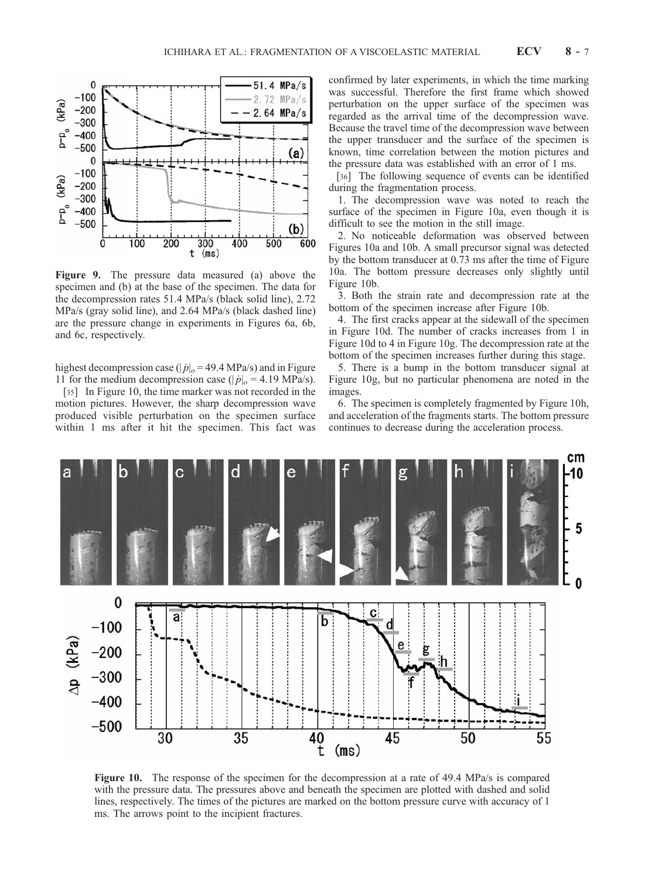

Figure 9. The pressure data measured (a) above the specimen and (b) at the base of the specimen. The data for the decompression rates 51.4 MPa/s (black solid line), 2.72 MPa/s (gray solid line), and 2.64 MPa/s (black dashed line) are the pressure change in experiments in Figures 6a, 6b, and 6c, respectively.

highest decompression case ( $|\dot{p}|_o$  = 49.4 MPa/s) and in Figure 11 for the medium decompression case ( $|\dot{p}|_o = 4.19$  MPa/s).

[35] In Figure 10, the time marker was not recorded in the motion pictures. However, the sharp decompression wave produced visible perturbation on the specimen surface within 1 ms after it hit the specimen. This fact was

confirmed by later experiments, in which the time marking was successful. Therefore the first frame which showed perturbation on the upper surface of the specimen was regarded as the arrival time of the decompression wave. Because the travel time of the decompression wave between the upper transducer and the surface of the specimen is known, time correlation between the motion pictures and the pressure data was established with an error of 1 ms.

[36] The following sequence of events can be identified during the fragmentation process.

1. The decompression wave was noted to reach the surface of the specimen in Figure 10a, even though it is difficult to see the motion in the still image.

2. No noticeable deformation was observed between Figures 10a and 10b. A small precursor signal was detected by the bottom transducer at 0.73 ms after the time of Figure 10a. The bottom pressure decreases only slightly until Figure 10b.

3. Both the strain rate and decompression rate at the bottom of the specimen increase after Figure 10b.

4. The first cracks appear at the sidewall of the specimen in Figure 10d. The number of cracks increases from 1 in Figure 10d to 4 in Figure 10g. The decompression rate at the bottom of the specimen increases further during this stage.

5. There is a bump in the bottom transducer signal at Figure 10g, but no particular phenomena are noted in the images.

6. The specimen is completely fragmented by Figure 10h, and acceleration of the fragments starts. The bottom pressure continues to decrease during the acceleration process.



Figure 10. The response of the specimen for the decompression at a rate of 49.4 MPa/s is compared with the pressure data. The pressures above and beneath the specimen are plotted with dashed and solid lines, respectively. The times of the pictures are marked on the bottom pressure curve with accuracy of 1 ms. The arrows point to the incipient fractures.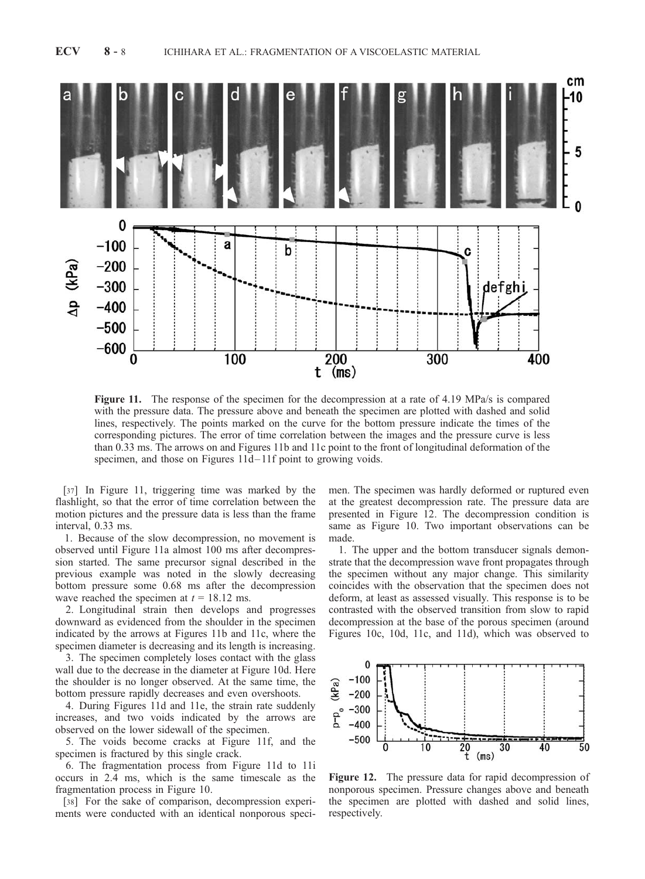

Figure 11. The response of the specimen for the decompression at a rate of 4.19 MPa/s is compared with the pressure data. The pressure above and beneath the specimen are plotted with dashed and solid lines, respectively. The points marked on the curve for the bottom pressure indicate the times of the corresponding pictures. The error of time correlation between the images and the pressure curve is less than 0.33 ms. The arrows on and Figures 11b and 11c point to the front of longitudinal deformation of the specimen, and those on Figures 11d–11f point to growing voids.

[37] In Figure 11, triggering time was marked by the flashlight, so that the error of time correlation between the motion pictures and the pressure data is less than the frame interval, 0.33 ms.

1. Because of the slow decompression, no movement is observed until Figure 11a almost 100 ms after decompression started. The same precursor signal described in the previous example was noted in the slowly decreasing bottom pressure some 0.68 ms after the decompression wave reached the specimen at  $t = 18.12$  ms.

2. Longitudinal strain then develops and progresses downward as evidenced from the shoulder in the specimen indicated by the arrows at Figures 11b and 11c, where the specimen diameter is decreasing and its length is increasing.

3. The specimen completely loses contact with the glass wall due to the decrease in the diameter at Figure 10d. Here the shoulder is no longer observed. At the same time, the bottom pressure rapidly decreases and even overshoots.

4. During Figures 11d and 11e, the strain rate suddenly increases, and two voids indicated by the arrows are observed on the lower sidewall of the specimen.

5. The voids become cracks at Figure 11f, and the specimen is fractured by this single crack.

6. The fragmentation process from Figure 11d to 11i occurs in 2.4 ms, which is the same timescale as the fragmentation process in Figure 10.

[38] For the sake of comparison, decompression experiments were conducted with an identical nonporous specimen. The specimen was hardly deformed or ruptured even at the greatest decompression rate. The pressure data are presented in Figure 12. The decompression condition is same as Figure 10. Two important observations can be made.

1. The upper and the bottom transducer signals demonstrate that the decompression wave front propagates through the specimen without any major change. This similarity coincides with the observation that the specimen does not deform, at least as assessed visually. This response is to be contrasted with the observed transition from slow to rapid decompression at the base of the porous specimen (around Figures 10c, 10d, 11c, and 11d), which was observed to



Figure 12. The pressure data for rapid decompression of nonporous specimen. Pressure changes above and beneath the specimen are plotted with dashed and solid lines, respectively.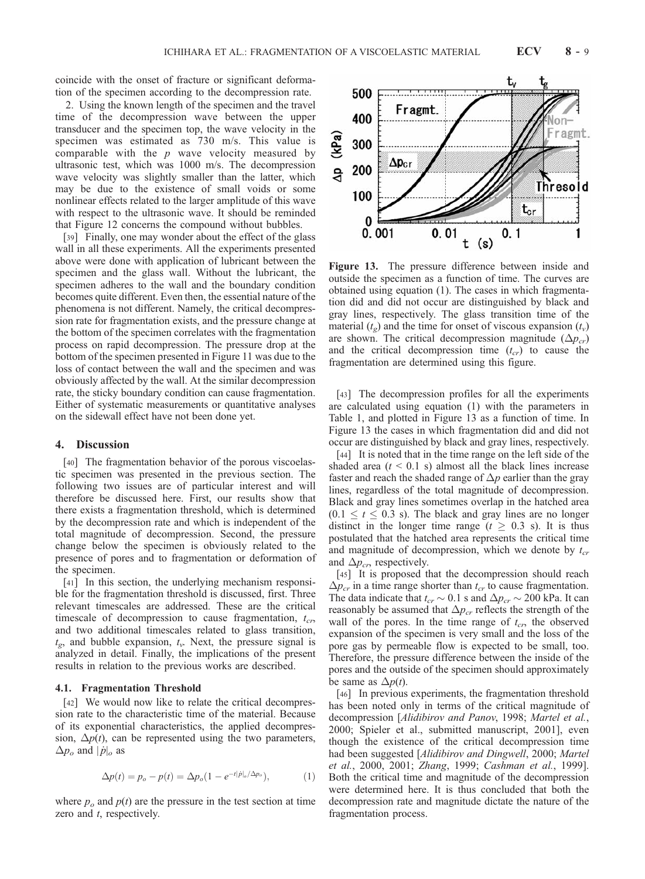coincide with the onset of fracture or significant deformation of the specimen according to the decompression rate.

2. Using the known length of the specimen and the travel time of the decompression wave between the upper transducer and the specimen top, the wave velocity in the specimen was estimated as 730 m/s. This value is comparable with the  $p$  wave velocity measured by ultrasonic test, which was 1000 m/s. The decompression wave velocity was slightly smaller than the latter, which may be due to the existence of small voids or some nonlinear effects related to the larger amplitude of this wave with respect to the ultrasonic wave. It should be reminded that Figure 12 concerns the compound without bubbles.

[39] Finally, one may wonder about the effect of the glass wall in all these experiments. All the experiments presented above were done with application of lubricant between the specimen and the glass wall. Without the lubricant, the specimen adheres to the wall and the boundary condition becomes quite different. Even then, the essential nature of the phenomena is not different. Namely, the critical decompression rate for fragmentation exists, and the pressure change at the bottom of the specimen correlates with the fragmentation process on rapid decompression. The pressure drop at the bottom of the specimen presented in Figure 11 was due to the loss of contact between the wall and the specimen and was obviously affected by the wall. At the similar decompression rate, the sticky boundary condition can cause fragmentation. Either of systematic measurements or quantitative analyses on the sidewall effect have not been done yet.

## 4. Discussion

[40] The fragmentation behavior of the porous viscoelastic specimen was presented in the previous section. The following two issues are of particular interest and will therefore be discussed here. First, our results show that there exists a fragmentation threshold, which is determined by the decompression rate and which is independent of the total magnitude of decompression. Second, the pressure change below the specimen is obviously related to the presence of pores and to fragmentation or deformation of the specimen.

[41] In this section, the underlying mechanism responsible for the fragmentation threshold is discussed, first. Three relevant timescales are addressed. These are the critical timescale of decompression to cause fragmentation,  $t_{cr}$ , and two additional timescales related to glass transition,  $t_{\rm g}$ , and bubble expansion,  $t_{\rm v}$ . Next, the pressure signal is analyzed in detail. Finally, the implications of the present results in relation to the previous works are described.

## 4.1. Fragmentation Threshold

[42] We would now like to relate the critical decompression rate to the characteristic time of the material. Because of its exponential characteristics, the applied decompression,  $\Delta p(t)$ , can be represented using the two parameters,  $\Delta p_o$  and  $|\dot{p}|_o$  as

$$
\Delta p(t) = p_o - p(t) = \Delta p_o (1 - e^{-t|\dot{p}|_o/\Delta p_o}), \tag{1}
$$

where  $p<sub>o</sub>$  and  $p(t)$  are the pressure in the test section at time zero and *t*, respectively.



Figure 13. The pressure difference between inside and outside the specimen as a function of time. The curves are obtained using equation (1). The cases in which fragmentation did and did not occur are distinguished by black and gray lines, respectively. The glass transition time of the material  $(t_g)$  and the time for onset of viscous expansion  $(t_v)$ are shown. The critical decompression magnitude  $(\Delta p_{cr})$ and the critical decompression time  $(t_{cr})$  to cause the fragmentation are determined using this figure.

[43] The decompression profiles for all the experiments are calculated using equation (1) with the parameters in Table 1, and plotted in Figure 13 as a function of time. In Figure 13 the cases in which fragmentation did and did not occur are distinguished by black and gray lines, respectively.

[44] It is noted that in the time range on the left side of the shaded area  $(t < 0.1$  s) almost all the black lines increase faster and reach the shaded range of  $\Delta p$  earlier than the gray lines, regardless of the total magnitude of decompression. Black and gray lines sometimes overlap in the hatched area  $(0.1 \le t \le 0.3 \text{ s})$ . The black and gray lines are no longer distinct in the longer time range ( $t \geq 0.3$  s). It is thus postulated that the hatched area represents the critical time and magnitude of decompression, which we denote by  $t_{cr}$ and  $\Delta p_{cr}$ , respectively.

[45] It is proposed that the decompression should reach  $\Delta p_{cr}$  in a time range shorter than  $t_{cr}$  to cause fragmentation. The data indicate that  $t_{cr} \sim 0.1$  s and  $\Delta p_{cr} \sim 200$  kPa. It can reasonably be assumed that  $\Delta p_{cr}$  reflects the strength of the wall of the pores. In the time range of  $t_{cr}$ , the observed expansion of the specimen is very small and the loss of the pore gas by permeable flow is expected to be small, too. Therefore, the pressure difference between the inside of the pores and the outside of the specimen should approximately be same as  $\Delta p(t)$ .

[46] In previous experiments, the fragmentation threshold has been noted only in terms of the critical magnitude of decompression [Alidibirov and Panov, 1998; Martel et al., 2000; Spieler et al., submitted manuscript, 2001], even though the existence of the critical decompression time had been suggested [Alidibirov and Dingwell, 2000; Martel et al., 2000, 2001; Zhang, 1999; Cashman et al., 1999]. Both the critical time and magnitude of the decompression were determined here. It is thus concluded that both the decompression rate and magnitude dictate the nature of the fragmentation process.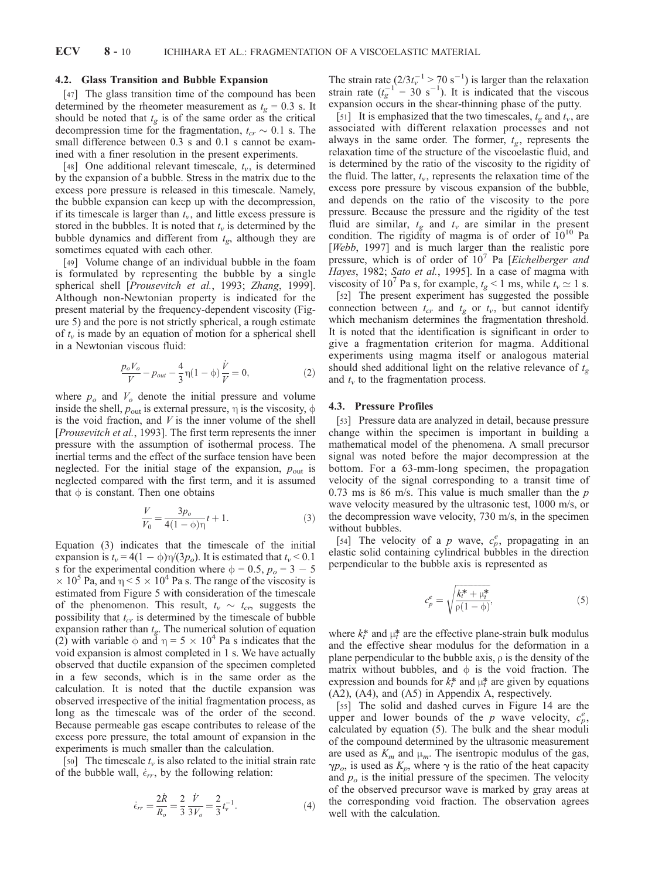#### 4.2. Glass Transition and Bubble Expansion

[47] The glass transition time of the compound has been determined by the rheometer measurement as  $t_g = 0.3$  s. It should be noted that  $t_g$  is of the same order as the critical decompression time for the fragmentation,  $t_{cr} \sim 0.1$  s. The small difference between 0.3 s and 0.1 s cannot be examined with a finer resolution in the present experiments.

[48] One additional relevant timescale,  $t_v$ , is determined by the expansion of a bubble. Stress in the matrix due to the excess pore pressure is released in this timescale. Namely, the bubble expansion can keep up with the decompression, if its timescale is larger than  $t<sub>v</sub>$ , and little excess pressure is stored in the bubbles. It is noted that  $t<sub>v</sub>$  is determined by the bubble dynamics and different from  $t_{g}$ , although they are sometimes equated with each other.

[49] Volume change of an individual bubble in the foam is formulated by representing the bubble by a single spherical shell [Prousevitch et al., 1993; Zhang, 1999]. Although non-Newtonian property is indicated for the present material by the frequency-dependent viscosity (Figure 5) and the pore is not strictly spherical, a rough estimate of  $t<sub>v</sub>$  is made by an equation of motion for a spherical shell in a Newtonian viscous fluid:

$$
\frac{p_o V_o}{V} - p_{out} - \frac{4}{3} \eta (1 - \phi) \frac{\dot{V}}{V} = 0, \tag{2}
$$

where  $p<sub>o</sub>$  and  $V<sub>o</sub>$  denote the initial pressure and volume inside the shell,  $p_{\text{out}}$  is external pressure,  $\eta$  is the viscosity,  $\phi$ is the void fraction, and  $V$  is the inner volume of the shell [*Prousevitch et al.*, 1993]. The first term represents the inner pressure with the assumption of isothermal process. The inertial terms and the effect of the surface tension have been neglected. For the initial stage of the expansion,  $p_{\text{out}}$  is neglected compared with the first term, and it is assumed that  $\phi$  is constant. Then one obtains

$$
\frac{V}{V_0} = \frac{3p_o}{4(1 - \phi)\eta}t + 1.
$$
 (3)

Equation (3) indicates that the timescale of the initial expansion is  $t_v = 4(1 - \phi)\eta/(3p_o)$ . It is estimated that  $t_v < 0.1$ s for the experimental condition where  $\phi = 0.5$ ,  $p<sub>o</sub> = 3 - 5$  $\times$  10<sup>5</sup> Pa, and  $\eta$  < 5  $\times$  10<sup>4</sup> Pa s. The range of the viscosity is estimated from Figure 5 with consideration of the timescale of the phenomenon. This result,  $t_v \sim t_{cr}$ , suggests the possibility that  $t_{cr}$  is determined by the timescale of bubble expansion rather than  $t_g$ . The numerical solution of equation (2) with variable  $\phi$  and  $\eta = 5 \times 10^4$  Pa s indicates that the void expansion is almost completed in 1 s. We have actually observed that ductile expansion of the specimen completed in a few seconds, which is in the same order as the calculation. It is noted that the ductile expansion was observed irrespective of the initial fragmentation process, as long as the timescale was of the order of the second. Because permeable gas escape contributes to release of the excess pore pressure, the total amount of expansion in the experiments is much smaller than the calculation.

[50] The timescale  $t_v$  is also related to the initial strain rate of the bubble wall,  $\dot{\epsilon}_{rr}$ , by the following relation:

$$
\dot{\epsilon}_{rr} = \frac{2\dot{R}}{R_o} = \frac{2}{3} \frac{\dot{V}}{3V_o} = \frac{2}{3} t_v^{-1}.
$$
 (4)

The strain rate  $(2/3t_v^{-1} > 70 \text{ s}^{-1})$  is larger than the relaxation strain rate  $(t_g^{-1}) = 30 \text{ s}^{-1}$ ). It is indicated that the viscous expansion occurs in the shear-thinning phase of the putty.

[51] It is emphasized that the two timescales,  $t_{\varphi}$  and  $t_{\nu}$ , are associated with different relaxation processes and not always in the same order. The former,  $t_g$ , represents the relaxation time of the structure of the viscoelastic fluid, and is determined by the ratio of the viscosity to the rigidity of the fluid. The latter,  $t_v$ , represents the relaxation time of the excess pore pressure by viscous expansion of the bubble, and depends on the ratio of the viscosity to the pore pressure. Because the pressure and the rigidity of the test fluid are similar,  $t_g$  and  $t_v$  are similar in the present condition. The rigidity of magma is of order of  $10^{10}$  Pa [*Webb*, 1997] and is much larger than the realistic pore pressure, which is of order of  $10<sup>7</sup>$  Pa [Eichelberger and Hayes, 1982; Sato et al., 1995]. In a case of magma with viscosity of 10<sup> $\prime$ </sup> Pa s, for example,  $t_g$  < 1 ms, while  $t_v \approx 1$  s.

[52] The present experiment has suggested the possible connection between  $t_{cr}$  and  $t_g$  or  $t_v$ , but cannot identify which mechanism determines the fragmentation threshold. It is noted that the identification is significant in order to give a fragmentation criterion for magma. Additional experiments using magma itself or analogous material should shed additional light on the relative relevance of  $t<sub>g</sub>$ and  $t<sub>v</sub>$  to the fragmentation process.

#### 4.3. Pressure Profiles

[53] Pressure data are analyzed in detail, because pressure change within the specimen is important in building a mathematical model of the phenomena. A small precursor signal was noted before the major decompression at the bottom. For a 63-mm-long specimen, the propagation velocity of the signal corresponding to a transit time of 0.73 ms is 86 m/s. This value is much smaller than the  $p$ wave velocity measured by the ultrasonic test, 1000 m/s, or the decompression wave velocity, 730 m/s, in the specimen without bubbles.

[54] The velocity of a p wave,  $c_p^e$ , propagating in an elastic solid containing cylindrical bubbles in the direction perpendicular to the bubble axis is represented as

$$
c_p^e = \sqrt{\frac{k_l^* + \mu_l^*}{\rho(1 - \phi)}},\tag{5}
$$

where  $k_t^*$  and  $\mu_t^*$  are the effective plane-strain bulk modulus and the effective shear modulus for the deformation in a plane perpendicular to the bubble axis,  $\rho$  is the density of the matrix without bubbles, and  $\phi$  is the void fraction. The expression and bounds for  $k_t^*$  and  $\mu_t^*$  are given by equations (A2), (A4), and (A5) in Appendix A, respectively.

[55] The solid and dashed curves in Figure 14 are the upper and lower bounds of the p wave velocity,  $c_p^e$ , calculated by equation (5). The bulk and the shear moduli of the compound determined by the ultrasonic measurement are used as  $K_m$  and  $\mu_m$ . The isentropic modulus of the gas,  $\gamma p_o$ , is used as  $K_p$ , where  $\gamma$  is the ratio of the heat capacity and  $p<sub>o</sub>$  is the initial pressure of the specimen. The velocity of the observed precursor wave is marked by gray areas at the corresponding void fraction. The observation agrees well with the calculation.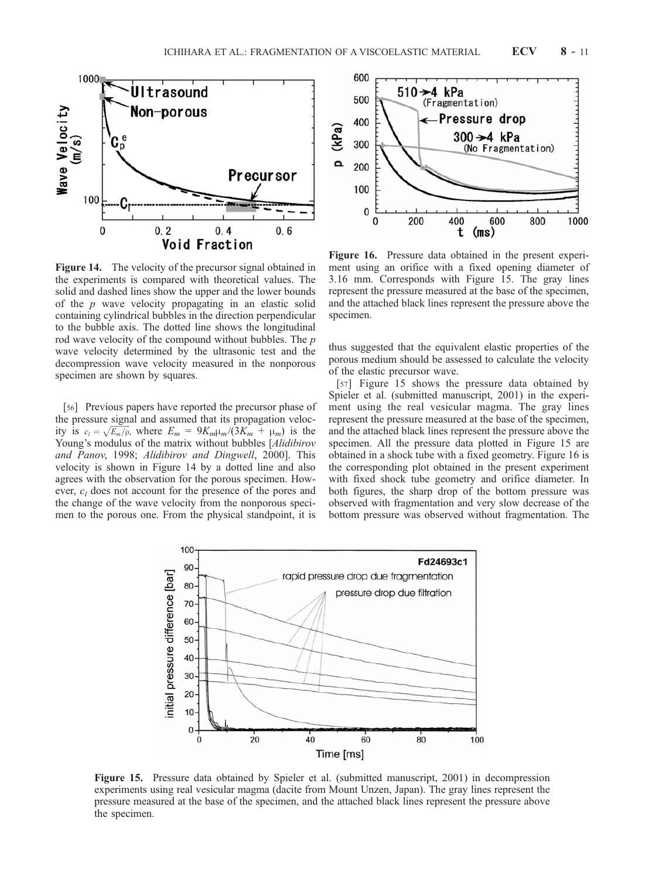



Figure 14. The velocity of the precursor signal obtained in the experiments is compared with theoretical values. The solid and dashed lines show the upper and the lower bounds of the  $p$  wave velocity propagating in an elastic solid containing cylindrical bubbles in the direction perpendicular to the bubble axis. The dotted line shows the longitudinal rod wave velocity of the compound without bubbles. The p wave velocity determined by the ultrasonic test and the decompression wave velocity measured in the nonporous specimen are shown by squares.

[56] Previous papers have reported the precursor phase of the pressure signal and assumed that its propagation velocity is  $c_l = \sqrt{E_m/\rho}$ , where  $E_m = 9K_m\mu_m/(3K_m + \mu_m)$  is the Young's modulus of the matrix without bubbles [Alidibirov and Panov, 1998; Alidibirov and Dingwell, 2000]. This velocity is shown in Figure 14 by a dotted line and also agrees with the observation for the porous specimen. However,  $c_l$  does not account for the presence of the pores and the change of the wave velocity from the nonporous specimen to the porous one. From the physical standpoint, it is

Figure 16. Pressure data obtained in the present experiment using an orifice with a fixed opening diameter of 3.16 mm. Corresponds with Figure 15. The gray lines represent the pressure measured at the base of the specimen, and the attached black lines represent the pressure above the specimen.

thus suggested that the equivalent elastic properties of the porous medium should be assessed to calculate the velocity of the elastic precursor wave.

[57] Figure 15 shows the pressure data obtained by Spieler et al. (submitted manuscript, 2001) in the experiment using the real vesicular magma. The gray lines represent the pressure measured at the base of the specimen, and the attached black lines represent the pressure above the specimen. All the pressure data plotted in Figure 15 are obtained in a shock tube with a fixed geometry. Figure 16 is the corresponding plot obtained in the present experiment with fixed shock tube geometry and orifice diameter. In both figures, the sharp drop of the bottom pressure was observed with fragmentation and very slow decrease of the bottom pressure was observed without fragmentation. The



Figure 15. Pressure data obtained by Spieler et al. (submitted manuscript, 2001) in decompression experiments using real vesicular magma (dacite from Mount Unzen, Japan). The gray lines represent the pressure measured at the base of the specimen, and the attached black lines represent the pressure above the specimen.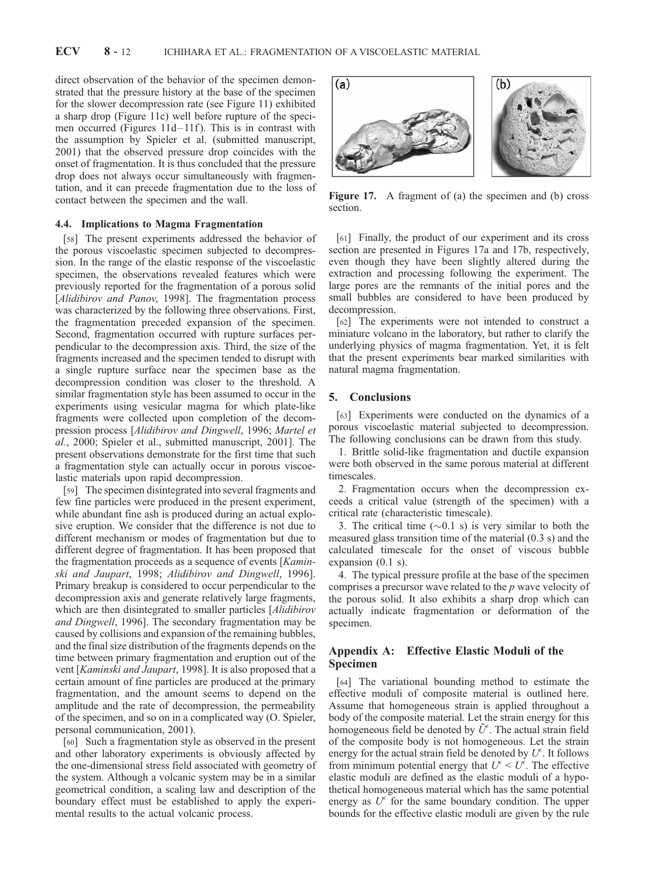direct observation of the behavior of the specimen demonstrated that the pressure history at the base of the specimen for the slower decompression rate (see Figure 11) exhibited a sharp drop (Figure 11c) well before rupture of the specimen occurred (Figures 11d–11f). This is in contrast with the assumption by Spieler et al. (submitted manuscript, 2001) that the observed pressure drop coincides with the onset of fragmentation. It is thus concluded that the pressure drop does not always occur simultaneously with fragmentation, and it can precede fragmentation due to the loss of contact between the specimen and the wall.

## 4.4. Implications to Magma Fragmentation

[58] The present experiments addressed the behavior of the porous viscoelastic specimen subjected to decompression. In the range of the elastic response of the viscoelastic specimen, the observations revealed features which were previously reported for the fragmentation of a porous solid [Alidibirov and Panov, 1998]. The fragmentation process was characterized by the following three observations. First, the fragmentation preceded expansion of the specimen. Second, fragmentation occurred with rupture surfaces perpendicular to the decompression axis. Third, the size of the fragments increased and the specimen tended to disrupt with a single rupture surface near the specimen base as the decompression condition was closer to the threshold. A similar fragmentation style has been assumed to occur in the experiments using vesicular magma for which plate-like fragments were collected upon completion of the decompression process [Alidibirov and Dingwell, 1996; Martel et al., 2000; Spieler et al., submitted manuscript, 2001]. The present observations demonstrate for the first time that such a fragmentation style can actually occur in porous viscoelastic materials upon rapid decompression.

[59] The specimen disintegrated into several fragments and few fine particles were produced in the present experiment, while abundant fine ash is produced during an actual explosive eruption. We consider that the difference is not due to different mechanism or modes of fragmentation but due to different degree of fragmentation. It has been proposed that the fragmentation proceeds as a sequence of events [Kaminski and Jaupart, 1998; Alidibirov and Dingwell, 1996]. Primary breakup is considered to occur perpendicular to the decompression axis and generate relatively large fragments, which are then disintegrated to smaller particles [Alidibirov and Dingwell, 1996]. The secondary fragmentation may be caused by collisions and expansion of the remaining bubbles, and the final size distribution of the fragments depends on the time between primary fragmentation and eruption out of the vent [*Kaminski and Jaupart*, 1998]. It is also proposed that a certain amount of fine particles are produced at the primary fragmentation, and the amount seems to depend on the amplitude and the rate of decompression, the permeability of the specimen, and so on in a complicated way (O. Spieler, personal communication, 2001).

[60] Such a fragmentation style as observed in the present and other laboratory experiments is obviously affected by the one-dimensional stress field associated with geometry of the system. Although a volcanic system may be in a similar geometrical condition, a scaling law and description of the boundary effect must be established to apply the experimental results to the actual volcanic process.



Figure 17. A fragment of (a) the specimen and (b) cross section.

[61] Finally, the product of our experiment and its cross section are presented in Figures 17a and 17b, respectively, even though they have been slightly altered during the extraction and processing following the experiment. The large pores are the remnants of the initial pores and the small bubbles are considered to have been produced by decompression.

[62] The experiments were not intended to construct a miniature volcano in the laboratory, but rather to clarify the underlying physics of magma fragmentation. Yet, it is felt that the present experiments bear marked similarities with natural magma fragmentation.

## 5. Conclusions

[63] Experiments were conducted on the dynamics of a porous viscoelastic material subjected to decompression. The following conclusions can be drawn from this study.

1. Brittle solid-like fragmentation and ductile expansion were both observed in the same porous material at different timescales.

2. Fragmentation occurs when the decompression exceeds a critical value (strength of the specimen) with a critical rate (characteristic timescale).

3. The critical time  $(\sim 0.1 \text{ s})$  is very similar to both the measured glass transition time of the material (0.3 s) and the calculated timescale for the onset of viscous bubble expansion (0.1 s).

4. The typical pressure profile at the base of the specimen comprises a precursor wave related to the  $p$  wave velocity of the porous solid. It also exhibits a sharp drop which can actually indicate fragmentation or deformation of the specimen.

# Appendix A: Effective Elastic Moduli of the Specimen

[64] The variational bounding method to estimate the effective moduli of composite material is outlined here. Assume that homogeneous strain is applied throughout a body of the composite material. Let the strain energy for this homogeneous field be denoted by  $\tilde{U}^{\epsilon}$ . The actual strain field of the composite body is not homogeneous. Let the strain energy for the actual strain field be denoted by  $U^{\epsilon}$ . It follows from minimum potential energy that  $U^{\epsilon} < U^{\epsilon}$ . The effective elastic moduli are defined as the elastic moduli of a hypothetical homogeneous material which has the same potential energy as  $U^{\epsilon}$  for the same boundary condition. The upper bounds for the effective elastic moduli are given by the rule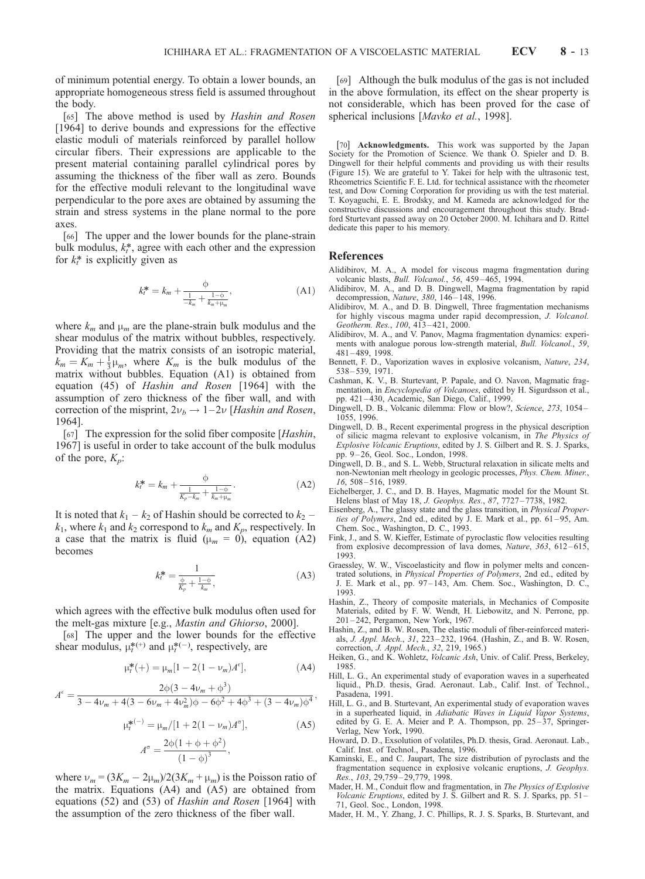of minimum potential energy. To obtain a lower bounds, an appropriate homogeneous stress field is assumed throughout the body.

[65] The above method is used by Hashin and Rosen [1964] to derive bounds and expressions for the effective elastic moduli of materials reinforced by parallel hollow circular fibers. Their expressions are applicable to the present material containing parallel cylindrical pores by assuming the thickness of the fiber wall as zero. Bounds for the effective moduli relevant to the longitudinal wave perpendicular to the pore axes are obtained by assuming the strain and stress systems in the plane normal to the pore axes.

[66] The upper and the lower bounds for the plane-strain bulk modulus,  $k_t^*$ , agree with each other and the expression for  $k_t^*$  is explicitly given as

$$
k_t^* = k_m + \frac{\phi}{\frac{1}{-k_m} + \frac{1-\phi}{k_m + \mu_m}},
$$
 (A1)

where  $k_m$  and  $\mu_m$  are the plane-strain bulk modulus and the shear modulus of the matrix without bubbles, respectively. Providing that the matrix consists of an isotropic material,  $k_m = K_m + \frac{1}{3}\mu_m$ , where  $K_m$  is the bulk modulus of the matrix without bubbles. Equation (A1) is obtained from equation (45) of Hashin and Rosen [1964] with the assumption of zero thickness of the fiber wall, and with correction of the misprint,  $2v_b \rightarrow 1-2v$  [Hashin and Rosen, 1964].

[67] The expression for the solid fiber composite [Hashin, 1967] is useful in order to take account of the bulk modulus of the pore,  $K_p$ :

$$
k_t^* = k_m + \frac{\varphi}{\frac{1}{K_p - k_m} + \frac{1 - \varphi}{k_m + \mu_m}}.
$$
(A2)

It is noted that  $k_1 - k_2$  of Hashin should be corrected to  $k_2$  –  $k_1$ , where  $k_1$  and  $k_2$  correspond to  $k_m$  and  $K_p$ , respectively. In a case that the matrix is fluid ( $\mu_m = 0$ ), equation (A2) becomes

$$
k_t^* = \frac{1}{\frac{\phi}{K_p} + \frac{1-\phi}{K_m}},\tag{A3}
$$

which agrees with the effective bulk modulus often used for the melt-gas mixture [e.g., Mastin and Ghiorso, 2000].

[68] The upper and the lower bounds for the effective shear modulus,  $\mu_t^{*(+)}$  and  $\mu_t^{*(-)}$ , respectively, are

$$
\mu_t^*(+) = \mu_m [1 - 2(1 - \nu_m) A^{\epsilon}], \tag{A4}
$$

$$
A^{\epsilon} = \frac{2\phi(3 - 4\nu_m + \phi^3)}{3 - 4\nu_m + 4(3 - 6\nu_m + 4\nu_m^2)\phi - 6\phi^2 + 4\phi^3 + (3 - 4\nu_m)\phi^4},
$$

$$
\mu_t^{*(-)} = \mu_m / [1 + 2(1 - \nu_m)A^{\sigma}], \tag{A5}
$$
\n
$$
A^{\sigma} = \frac{2\phi(1 + \phi + \phi^2)}{(1 - \nu_m)^3},
$$

$$
f = \frac{2\psi(1 + \psi + \psi)}{(1 - \phi)^3},
$$

where  $\nu_m = (3K_m - 2\mu_m)/2(3K_m + \mu_m)$  is the Poisson ratio of the matrix. Equations (A4) and (A5) are obtained from equations (52) and (53) of Hashin and Rosen [1964] with the assumption of the zero thickness of the fiber wall.

[69] Although the bulk modulus of the gas is not included in the above formulation, its effect on the shear property is not considerable, which has been proved for the case of spherical inclusions [Mayko et al., 1998].

[70] Acknowledgments. This work was supported by the Japan Society for the Promotion of Science. We thank O. Spieler and D. B. Dingwell for their helpful comments and providing us with their results (Figure 15). We are grateful to Y. Takei for help with the ultrasonic test, Rheometrics Scientific F. E. Ltd. for technical assistance with the rheometer test, and Dow Corning Corporation for providing us with the test material. T. Koyaguchi, E. E. Brodsky, and M. Kameda are acknowledged for the constructive discussions and encouragement throughout this study. Bradford Sturtevant passed away on 20 October 2000. M. Ichihara and D. Rittel dedicate this paper to his memory.

## References

- Alidibirov, M. A., A model for viscous magma fragmentation during volcanic blasts, Bull. Volcanol., 56, 459 – 465, 1994.
- Alidibirov, M. A., and D. B. Dingwell, Magma fragmentation by rapid decompression, Nature, 380, 146-148, 1996.
- Alidibirov, M. A., and D. B. Dingwell, Three fragmentation mechanisms for highly viscous magma under rapid decompression, J. Volcanol. Geotherm. Res., 100, 413-421, 2000.
- Alidibirov, M. A., and V. Panov, Magma fragmentation dynamics: experiments with analogue porous low-strength material, Bull. Volcanol., 59, 481 – 489, 1998.
- Bennett, F. D., Vaporization waves in explosive volcanism, Nature, 234, 538 – 539, 1971.
- Cashman, K. V., B. Sturtevant, P. Papale, and O. Navon, Magmatic fragmentation, in Encyclopedia of Volcanoes, edited by H. Sigurdsson et al., pp. 421 – 430, Academic, San Diego, Calif., 1999.
- Dingwell, D. B., Volcanic dilemma: Flow or blow?, Science, 273, 1054 1055, 1996.
- Dingwell, D. B., Recent experimental progress in the physical description of silicic magma relevant to explosive volcanism, in The Physics of Explosive Volcanic Eruptions, edited by J. S. Gilbert and R. S. J. Sparks, pp. 9 – 26, Geol. Soc., London, 1998.
- Dingwell, D. B., and S. L. Webb, Structural relaxation in silicate melts and non-Newtonian melt rheology in geologic processes, Phys. Chem. Miner., 16, 508 – 516, 1989.
- Eichelberger, J. C., and D. B. Hayes, Magmatic model for the Mount St. Helens blast of May 18, J. Geophys. Res., 87, 7727 – 7738, 1982.
- Eisenberg, A., The glassy state and the glass transition, in Physical Properties of Polymers, 2nd ed., edited by J. E. Mark et al., pp. 61-95, Am. Chem. Soc., Washington, D. C., 1993.
- Fink, J., and S. W. Kieffer, Estimate of pyroclastic flow velocities resulting from explosive decompression of lava domes, Nature, 363, 612-615, 1993.
- Graessley, W. W., Viscoelasticity and flow in polymer melts and concentrated solutions, in Physical Properties of Polymers, 2nd ed., edited by J. E. Mark et al., pp. 97 – 143, Am. Chem. Soc., Washington, D. C., 1993.
- Hashin, Z., Theory of composite materials, in Mechanics of Composite Materials, edited by F. W. Wendt, H. Liebowitz, and N. Perrone, pp. 201 – 242, Pergamon, New York, 1967.
- Hashin, Z., and B. W. Rosen, The elastic moduli of fiber-reinforced materials, J. Appl. Mech., 31, 223-232, 1964. (Hashin, Z., and B. W. Rosen, correction, *J. Appl. Mech.*, 32, 219, 1965.)
- Heiken, G., and K. Wohletz, Volcanic Ash, Univ. of Calif. Press, Berkeley, 1985.
- Hill, L. G., An experimental study of evaporation waves in a superheated liquid., Ph.D. thesis, Grad. Aeronaut. Lab., Calif. Inst. of Technol., Pasadena, 1991.
- Hill, L. G., and B. Sturtevant, An experimental study of evaporation waves in a superheated liquid, in Adiabatic Waves in Liquid Vapor Systems, edited by G. E. A. Meier and P. A. Thompson, pp. 25–37, Springer-Verlag, New York, 1990.

Howard, D. D., Exsolution of volatiles, Ph.D. thesis, Grad. Aeronaut. Lab., Calif. Inst. of Technol., Pasadena, 1996.

- Kaminski, E., and C. Jaupart, The size distribution of pyroclasts and the fragmentation sequence in explosive volcanic eruptions, J. Geophys. Res., 103, 29,759-29,779, 1998.
- Mader, H. M., Conduit flow and fragmentation, in The Physics of Explosive Volcanic Eruptions, edited by J. S. Gilbert and R. S. J. Sparks, pp. 51 – 71, Geol. Soc., London, 1998.
- Mader, H. M., Y. Zhang, J. C. Phillips, R. J. S. Sparks, B. Sturtevant, and